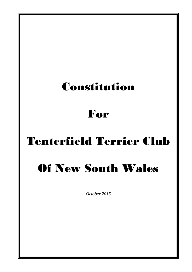## Constitution

### For

# Tenterfield Terrier Club

# Of New South Wales

*October 2015*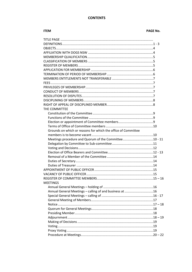#### **CONTENTS**

#### **ITEM**

#### **PAGE No.**

| THE COMMITTEE                                                 |  |
|---------------------------------------------------------------|--|
|                                                               |  |
|                                                               |  |
|                                                               |  |
|                                                               |  |
| Grounds on which or reasons for which the office of Committee |  |
|                                                               |  |
|                                                               |  |
|                                                               |  |
|                                                               |  |
|                                                               |  |
|                                                               |  |
|                                                               |  |
|                                                               |  |
|                                                               |  |
|                                                               |  |
|                                                               |  |
| <b>MEETINGS</b>                                               |  |
|                                                               |  |
| Annual General Meetings - calling of and business at 16       |  |
|                                                               |  |
|                                                               |  |
|                                                               |  |
|                                                               |  |
|                                                               |  |
|                                                               |  |
|                                                               |  |
|                                                               |  |
|                                                               |  |
|                                                               |  |
|                                                               |  |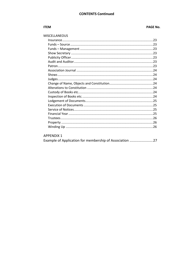#### **CONTENTS Continued**

#### **ITEM**

#### **PAGE No.**

#### MISCELLANEOUS

| 26 |
|----|
|    |

#### **APPENDIX 1**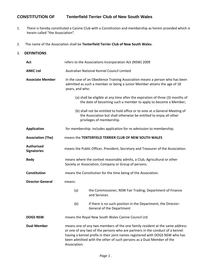#### **CONSTITUTION OF Tenterfield Terrier Club of New South Wales**

- 1. There is hereby constituted a Canine Club with a Constitution and membership as herein provided which is herein called "the Association".
- 2. The name of the Association shall be **Tenterfield Terrier Club of New South Wales.**

#### 3. **DEFINITIONS**

| Act                                     | refers to the Associations Incorporation Act (NSW) 2009                                                                                                                                                                                                                                                                             |                                                                                                                                                                                |
|-----------------------------------------|-------------------------------------------------------------------------------------------------------------------------------------------------------------------------------------------------------------------------------------------------------------------------------------------------------------------------------------|--------------------------------------------------------------------------------------------------------------------------------------------------------------------------------|
| <b>ANKC Ltd</b>                         |                                                                                                                                                                                                                                                                                                                                     | Australian National Kennel Council Limited                                                                                                                                     |
| <b>Associate Member</b>                 | In the case of an Obedience Training Association means a person who has been<br>admitted as such a member or being a Junior Member attains the age of 18<br>years, and who:                                                                                                                                                         |                                                                                                                                                                                |
|                                         |                                                                                                                                                                                                                                                                                                                                     | (a) shall be eligible at any time after the expiration of three (3) months of<br>the date of becoming such a member to apply to become a Member;                               |
|                                         |                                                                                                                                                                                                                                                                                                                                     | (b) shall not be entitled to hold office or to vote at a General Meeting of<br>the Association but shall otherwise be entitled to enjoy all other<br>privileges of membership. |
| <b>Application</b>                      |                                                                                                                                                                                                                                                                                                                                     | for membership: includes application for re-admission to membership;                                                                                                           |
| <b>Association (The)</b>                |                                                                                                                                                                                                                                                                                                                                     | means the TENTERFIELD TERRIER CLUB OF NEW SOUTH WALES                                                                                                                          |
| <b>Authorised</b><br><b>Signatories</b> |                                                                                                                                                                                                                                                                                                                                     | means the Public Officer, President, Secretary and Treasurer of the Association.                                                                                               |
| <b>Body</b>                             |                                                                                                                                                                                                                                                                                                                                     | means where the context reasonably admits, a Club, Agricultural or other<br>Society or Association, Company or Group of persons.                                               |
| Constitution                            |                                                                                                                                                                                                                                                                                                                                     | means the Constitution for the time being of the Association.                                                                                                                  |
| <b>Director-General</b>                 | means:                                                                                                                                                                                                                                                                                                                              |                                                                                                                                                                                |
|                                         | (a)                                                                                                                                                                                                                                                                                                                                 | the Commissioner, NSW Fair Trading, Department of Finance<br>and Services.                                                                                                     |
|                                         | (b)                                                                                                                                                                                                                                                                                                                                 | if there is no such position in the Department, the Director-<br>General of the Department                                                                                     |
| <b>DOGS NSW</b>                         |                                                                                                                                                                                                                                                                                                                                     | means the Royal New South Wales Canine Council Ltd                                                                                                                             |
| <b>Dual Member</b>                      | means one of any two members of the one family resident at the same address<br>or one of any two of the persons who are partners in the conduct of a kennel<br>having a kennel prefix in their joint names registered with DOGS NSW who has<br>been admitted with the other of such persons as a Dual Member of the<br>Association. |                                                                                                                                                                                |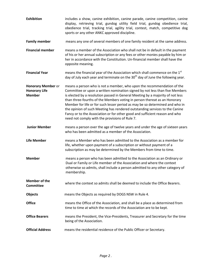| <b>Exhibition</b>                                                  | includes a show, canine exhibition, canine parade, canine competition, canine<br>display, retrieving trial, gundog utility field trial, gundog obedience trial,<br>obedience trial, tracking trial, agility trial, contest, match, competitive dog<br>sports or any other ANKC approved discipline.                                                                                                                                                                                                                                                                                                                  |
|--------------------------------------------------------------------|----------------------------------------------------------------------------------------------------------------------------------------------------------------------------------------------------------------------------------------------------------------------------------------------------------------------------------------------------------------------------------------------------------------------------------------------------------------------------------------------------------------------------------------------------------------------------------------------------------------------|
| <b>Family member</b>                                               | means any one of several members of one family resident at the same address.                                                                                                                                                                                                                                                                                                                                                                                                                                                                                                                                         |
| <b>Financial member</b>                                            | means a member of the Association who shall not be in default in the payment<br>of his or her annual subscription or any fees or other monies payable by him or<br>her in accordance with the Constitution. Un-financial member shall have the<br>opposite meaning.                                                                                                                                                                                                                                                                                                                                                  |
| <b>Financial Year</b>                                              | means the financial year of the Association which shall commence on the 1 <sup>st</sup><br>day of July each year and terminate on the 30 <sup>th</sup> day of June the following year.                                                                                                                                                                                                                                                                                                                                                                                                                               |
| <b>Honorary Member or</b><br><b>Honorary Life</b><br><b>Member</b> | means a person who is not a member, who upon the recommendation of the<br>Committee or upon a written nomination signed by not less than five Members<br>is elected by a resolution passed in General Meeting by a majority of not less<br>than three-fourths of the Members voting in person thereat as an Honorary<br>Member for life or for such lesser period as may be so determined and who in<br>the opinion of such Meeting has rendered outstanding services to the Canine<br>Fancy or to the Association or for other good and sufficient reason and who<br>need not comply with the provisions of Rule 7. |
| <b>Junior Member</b>                                               | means a person over the age of twelve years and under the age of sixteen years<br>who has been admitted as a member of the Association.                                                                                                                                                                                                                                                                                                                                                                                                                                                                              |
| <b>Life Member</b>                                                 | means a Member who has been admitted to the Association as a member for<br>life, whether upon payment of a subscription or without payment of a<br>subscription as may be determined by the Members from time to time.                                                                                                                                                                                                                                                                                                                                                                                               |
| <b>Member</b>                                                      | means a person who has been admitted to the Association as an Ordinary or<br>Dual or Family or Life member of the Association and where the context<br>otherwise so admits, shall include a person admitted to any other category of<br>membership.                                                                                                                                                                                                                                                                                                                                                                  |
| <b>Member of the</b><br><b>Committee</b>                           | where the context so admits shall be deemed to include the Office Bearers.                                                                                                                                                                                                                                                                                                                                                                                                                                                                                                                                           |
| <b>Objects</b>                                                     | means the Objects as required by DOGS NSW in Rule 4.                                                                                                                                                                                                                                                                                                                                                                                                                                                                                                                                                                 |
| <b>Office</b>                                                      | means the Office of the Association, and shall be a place as determined from<br>time to time at which the records of the Association are to be kept.                                                                                                                                                                                                                                                                                                                                                                                                                                                                 |
| <b>Office Bearers</b>                                              | means the President, the Vice-Presidents, Treasurer and Secretary for the time<br>being of the Association.                                                                                                                                                                                                                                                                                                                                                                                                                                                                                                          |
| <b>Official Address</b>                                            | means the residential residence of the Public Officer or Secretary.                                                                                                                                                                                                                                                                                                                                                                                                                                                                                                                                                  |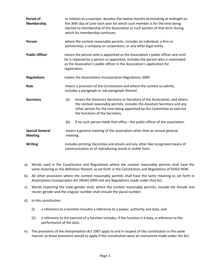| Period of<br>Membership                  | in relation to a member, denotes the twelve months terminating at midnight on<br>the 30th day of June each year for which such member is for the time being<br>elected to membership of the Association or such portion of that term during<br>which his membership continues. |  |
|------------------------------------------|--------------------------------------------------------------------------------------------------------------------------------------------------------------------------------------------------------------------------------------------------------------------------------|--|
| Person                                   | where the context reasonably permits, includes an individual, a firm or<br>partnership, a company or corporation, or any other legal entity.                                                                                                                                   |  |
| <b>Public Officer</b>                    | means the person who is appointed as the Association's public officer and until<br>he is replaced by a person so appointed, includes the person who is nominated<br>as the Association's public officer in the Association's application for<br>registration.                  |  |
| <b>Regulations</b>                       | means the Associations Incorporation Regulations 2009.                                                                                                                                                                                                                         |  |
| Rule                                     | means a provision of the Constitution and where the context so admits,<br>includes a paragraph or sub-paragraph thereof.                                                                                                                                                       |  |
| <b>Secretary</b>                         | means the Honorary Secretary or Secretary of the Association, and where<br>(a)<br>the context reasonably permits, includes the Assistant Secretary and any<br>other person for the time being appointed by the Committee to exercise<br>the functions of the Secretary         |  |
|                                          | if no such person holds that office - the public officer of the association.<br>(b)                                                                                                                                                                                            |  |
| <b>Special General</b><br><b>Meeting</b> | means a general meeting of the association other than an annual general<br>meeting.                                                                                                                                                                                            |  |
| <b>Writing</b>                           | includes printing, facsimiles and emails and any other like recognised means of<br>communication or of reproducing words in visible form.                                                                                                                                      |  |

- a). Words used in the Constitution and Regulations where the context reasonably permits shall have the same meaning as the definition thereof, as set forth in the Constitution and Regulations of DOGS NSW.
- b). All other provisions where the context reasonably permits shall have the same meaning as set forth in Associations Incorporation Act (NSW) 2009 and any Regulations made under that Act.
- c). Words importing the male gender shall, where the context reasonably permits, include the female and neuter gender and the singular number shall include the plural number.
- d). In this constitution:
	- (i) a reference to a function includes a reference to a power, authority and duty, and
	- (ii) a reference to the exercise of a function includes, if the function is a duty, a reference to the performance of the duty.
- e). The provisions of the *[Interpretation Act 1987](http://www.legislation.nsw.gov.au/xref/inforce/?xref=Type%3Dact%20AND%20Year%3D1987%20AND%20no%3D15&nohits=y)* apply to and in respect of this constitution in the same manner as those provisions would so apply if this constitution were an instrument made under the Act.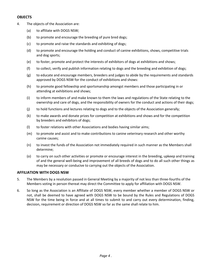#### **OBJECTS**

- 4. The objects of the Association are:
	- (a) to affiliate with DOGS NSW;
	- (b) to promote and encourage the breeding of pure bred dogs;
	- (c) to promote and raise the standards and exhibiting of dogs;
	- (d) to promote and encourage the holding and conduct of canine exhibitions, shows, competitive trials and dog sports;
	- (e) to foster, promote and protect the interests of exhibitors of dogs at exhibitions and shows;
	- (f) to collect, verify and publish information relating to dogs and the breeding and exhibition of dogs;
	- (g) to educate and encourage members, breeders and judges to abide by the requirements and standards approved by DOGS NSW for the conduct of exhibitions and shows:
	- (h) to promote good fellowship and sportsmanship amongst members and those participating in or attending at exhibitions and shows;
	- (i) to inform members of and make known to them the laws and regulations of the State relating to the ownership and care of dogs, and the responsibility of owners for the conduct and actions of their dogs;
	- (j) to hold functions and lectures relating to dogs and to the objects of the Association generally;
	- (k) to make awards and donate prizes for competition at exhibitions and shows and for the competition by breeders and exhibitors of dogs;
	- (l) to foster relations with other Associations and bodies having similar aims;
	- (m) to promote and assist and to make contributions to canine veterinary research and other worthy canine causes;
	- (n) to invest the funds of the Association not immediately required in such manner as the Members shall determine;
	- (o) to carry on such other activities or promote or encourage interest in the breeding, upkeep and training of and the general well-being and improvement of all breeds of dogs and to do all such other things as may be necessary or conducive to carrying out the objects of the Association.

#### **AFFILIATION WITH DOGS NSW**

- 5. The Members by a resolution passed in General Meeting by a majority of not less than three-fourths of the Members voting in person thereat may direct the Committee to apply for affiliation with DOGS NSW.
- 6. So long as the Association is an Affiliate of DOGS NSW, every member whether a member of DOGS NSW or not, shall be deemed to have agreed with DOGS NSW to be bound by the Rules and Regulations of DOGS NSW for the time being in force and at all times to submit to and carry out every determination, finding, decision, requirement or direction of DOGS NSW so far as the same shall relate to him.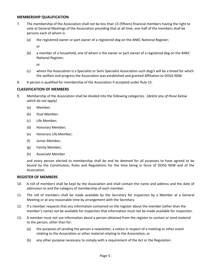#### **MEMBERSHIP QUALIFICATION**

- 7. The membership of the Association shall not be less than 15 (fifteen) financial members having the right to vote at General Meetings of the Association providing that at all time, one-half of the members shall be persons each of whom is:
	- (a) the registered owner or part owner of a registered dog on the ANKC National Register;

or

(b) a member of a household, one of whom is the owner or part owner of a registered dog on the ANKC National Register;

or

- (c) where the Association is a Specialist or Semi Specialist Association such dog/s will be a breed for which the welfare and progress the Association was established and granted Affiliation to DOGS NSW.
- 8. A person is qualified for membership of the Association if accepted under Rule 15.

#### **CLASSIFICATION OF MEMBERS**

- 9. Membership of the Association shall be divided into the following categories: *(delete any of those below which do not apply)*
	- (a) Member;
	- (b) Dual Member;
	- (c) Life Member;
	- (d) Honorary Member;
	- (e) Honorary Life Member;
	- (f) Junior Member;
	- (g) Family Member;
	- (h) Associate Member

and every person elected to membership shall be and be deemed for all purposes to have agreed to be bound by the Constitution, Rules and Regulations for the time being in force of DOGS NSW and of the Association.

#### **REGISTER OF MEMBERS**

- 10. A roll of members shall be kept by the Association and shall contain the name and address and the date of admission to and the category of membership of each member.
- 11. The roll of members shall be made available by the Secretary for inspection by a Member at a General Meeting or at any reasonable time by arrangement with the Secretary.
- 12. If a member requests that any information contained on the register about the member (other than the member's name) not be available for inspection that information must not be made available for inspection.
- 13. A member must not use information about a person obtained from the register to contact or send material to the person, other than for:
	- (a) the purposes of sending the person a newsletter, a notice in respect of a meeting or other event relating to the Association or other material relating to the Association, or
	- (b) any other purpose necessary to comply with a requirement of the Act or the Regulation.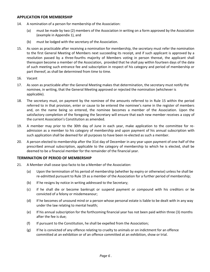#### **APPLICATION FOR MEMBERSHIP**

- 14. A nomination of a person for membership of the Association:
	- (a) must be made by two (2) members of the Association in writing on a form approved by the Association (example in Appendix 1), and
	- (b) must be lodged with the secretary of the Association.
- 15. As soon as practicable after receiving a nomination for membership, the secretary must refer the nomination to the first General Meeting of Members next succeeding its receipt, and if such applicant is approved by a resolution passed by a three-fourths majority of Members voting in person thereat, the applicant shall thereupon become a member of the Association, provided that he shall pay within fourteen days of the date of such meeting such entrance fee and subscription in respect of his category and period of membership or part thereof, as shall be determined from time to time.
- 16. Vacant
- 17. As soon as practicable after the General Meeting makes that determination, the secretary must notify the nominee, in writing, that the General Meeting approved or rejected the nomination (whichever is applicable).
- 18. The secretary must, on payment by the nominee of the amounts referred to in Rule 15 within the period referred to in that provision, enter or cause to be entered the nominee's name in the register of members and, on the name being so entered, the nominee becomes a member of the Association. Upon the satisfactory completion of the foregoing the Secretary will ensure that each new member receives a copy of the current Association's Constitution as amended.
- 19. A member may prior to the 30th day of June in each year, make application to the committee for readmission as a member to his category of membership and upon payment of his annual subscription with such application shall be deemed for all purposes to have been re-elected as such a member.
- 20. A person elected to membership after the 31st day of December in any year upon payment of one-half of the prescribed annual subscription, applicable to the category of membership to which he is elected, shall be deemed to be a financial member for the remainder of the financial year.

#### **TERMINATION OF PERIOD OF MEMBERSHIP**

- 21. A Member shall cease ipso facto to be a Member of the Association:
	- (a) Upon the termination of his period of membership (whether by expiry or otherwise) unless he shall be re-admitted pursuant to Rule 19 as a member of the Association for a further period of membership;
	- (b) If he resigns by notice in writing addressed to the Secretary;
	- (c) if he shall die or become bankrupt or suspend payment or compound with his creditors or be convicted of a felony or misdemeanour;
	- (d) If he becomes of unsound mind or a person whose personal estate is liable to be dealt with in any way under the law relating to mental health;
	- (e) If his annual subscription for the forthcoming financial year has not been paid within three (3) months after the fee is due;
	- (f) If pursuant to the Constitution, he shall be expelled from the Association;
	- (g) If he is convicted of any offence relating to cruelty to animals or on indictment for an offence committed at an exhibition or of an offence committed at an exhibition, show or trial.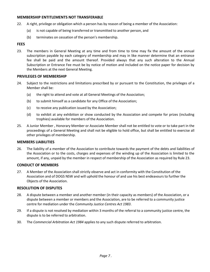#### **MEMBERSHIP ENTITLEMENTS NOT TRANSFERABLE**

- 22. A right, privilege or obligation which a person has by reason of being a member of the Association:
	- (a) is not capable of being transferred or transmitted to another person, and
	- (b) terminates on cessation of the person's membership.

#### **FEES**

23. The members in General Meeting at any time and from time to time may fix the amount of the annual subscription payable by each category of membership and may in like manner determine that an entrance fee shall be paid and the amount thereof. Provided always that any such alteration to the Annual Subscription or Entrance Fee must be by notice of motion and included on the notice paper for decision by the Members at the next General Meeting.

#### **PRIVILEGES OF MEMBERSHIP**

- 24. Subject to the restrictions and limitations prescribed by or pursuant to the Constitution, the privileges of a Member shall be:
	- (a) the right to attend and vote at all General Meetings of the Association;
	- (b) to submit himself as a candidate for any Office of the Association;
	- (c) to receive any publication issued by the Association;
	- (d) to exhibit at any exhibition or show conducted by the Association and compete for prizes (including trophies) available for members of the Association.
- 25. A Junior Member , Honorary Member or Associate Member shall not be entitled to vote or to take part in the proceedings of a General Meeting and shall not be eligible to hold office, but shall be entitled to exercise all other privileges of membership.

#### **MEMBERS LIABILITIES**

26. The liability of a member of the Association to contribute towards the payment of the debts and liabilities of the Association or to the costs, charges and expenses of the winding up of the Association is limited to the amount, if any, unpaid by the member in respect of membership of the Association as required by Rule 23.

#### **CONDUCT OF MEMBERS**

27. A Member of the Association shall strictly observe and act in conformity with the Constitution of the Association and of DOGS NSW and will uphold the honour of and use his best endeavours to further the Objects of the Association.

#### **RESOLUTION OF DISPUTES**

- 28. A dispute between a member and another member (in their capacity as members) of the Association, or a dispute between a member or members and the Association, are to be referred to a community justice centre for mediation under the *[Community Justice Centres Act 1983](http://www.legislation.nsw.gov.au/xref/inforce/?xref=Type%3Dact%20AND%20Year%3D1983%20AND%20no%3D127&nohits=y)*.
- 29. If a dispute is not resolved by mediation within 3 months of the referral to a community justice centre, the dispute is to be referred to arbitration.
- 30. The *[Commercial Arbitration Act](http://www.legislation.nsw.gov.au/xref/inforce/?xref=Type%3Dact%20AND%20Year%3D1984%20AND%20no%3D160&nohits=y) 1984* applies to any such dispute referred to arbitration.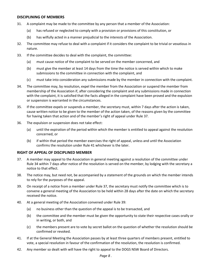#### **DISCIPLINING OF MEMBERS**

- 31. A complaint may be made to the committee by any person that a member of the Association:
	- (a) has refused or neglected to comply with a provision or provisions of this constitution, or
	- (b) has wilfully acted in a manner prejudicial to the interests of the Association.
- 32. The committee may refuse to deal with a complaint if it considers the complaint to be trivial or vexatious in nature.
- 33. If the committee decides to deal with the complaint, the committee:
	- (a) must cause notice of the complaint to be served on the member concerned, and
	- (b) must give the member at least 14 days from the time the notice is served within which to make submissions to the committee in connection with the complaint, and
	- (c) must take into consideration any submissions made by the member in connection with the complaint.
- 34. The committee may, by resolution, expel the member from the Association or suspend the member from membership of the Association if, after considering the complaint and any submissions made in connection with the complaint, it is satisfied that the facts alleged in the complaint have been proved and the expulsion or suspension is warranted in the circumstances.
- 35. If the committee expels or suspends a member, the secretary must, within 7 days after the action is taken, cause written notice to be given to the member of the action taken, of the reasons given by the committee for having taken that action and of the member's right of appeal under Rule 37.
- 36. The expulsion or suspension does not take effect:
	- (a) until the expiration of the period within which the member is entitled to appeal against the resolution concerned, or
	- (b) if within that period the member exercises the right of appeal, unless and until the Association confirms the resolution under Rule 41 whichever is the later.

#### **RIGHT OF APPEAL OF DISCIPLINED MEMBER**

- 37. A member may appeal to the Association in general meeting against a resolution of the committee under Rule 34 within 7 days after notice of the resolution is served on the member, by lodging with the secretary a notice to that effect.
- 38. The notice may, but need not, be accompanied by a statement of the grounds on which the member intends to rely for the purposes of the appeal.
- 39. On receipt of a notice from a member under Rule 37, the secretary must notify the committee which is to convene a general meeting of the Association to be held within 28 days after the date on which the secretary received the notice.
- 40. At a general meeting of the Association convened under Rule 39:
	- (a) no business other than the question of the appeal is to be transacted, and
	- (b) the committee and the member must be given the opportunity to state their respective cases orally or in writing, or both, and
	- (c) the members present are to vote by secret ballot on the question of whether the resolution should be confirmed or revoked.
- 41. If at the General Meeting the Association passes by at least three quarters of members present, entitled to vote, a special resolution in favour of the confirmation of the resolution, the resolution is confirmed.
- 42. Any member so dealt with will have the right to appeal to the DOGS NSW Board of Directors.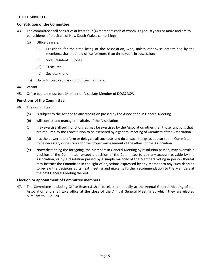#### **THE COMMITTEE**

#### **Constitution of the Committee**

- 43. The committee shall consist of at least four (4) members each of whom is aged 18 years or more and are to be residents of the State of New South Wales, comprising:
	- (a) Office Bearers:
		- (i) President, for the time being of the Association, who, unless otherwise determined by the members, shall not hold office for more than three years in succession;
		- (ii) Vice President –1 (one)
		- (iii) Treasurer
		- (iv) Secretary, and
	- (b) Up to 4 (four) ordinary committee members.
- 44. Vacant.
- 45. Office bearers must be a Member or Associate Member of DOGS NSW.

#### **Functions of the Committee**

- 46. The Committee:
	- (a) is subject to the Act and to any resolution passed by the Association in General Meeting
	- (b) will control and manage the affairs of the Association
	- (c) may exercise all such functions as may be exercised by the Association other than those functions that are required by the Constitution to be exercised by a general meeting of Members of the Association
	- (d) has the power to perform or delegate all such acts and do all such things as appear to the Committee to be necessary or desirable for the proper management of the affairs of the Association.
	- (e) Notwithstanding the foregoing, the Members in General Meeting by resolution passed; may overrule a decision of the Committee, except a decision of the Committee to pay any account payable by the Association, or by a resolution passed by a simple majority of the Members voting in person thereat may instruct the Committee in the light of objections expressed by any Member to any such decision to review the decisions at its next meeting and make its further recommendation to the Members at the next General Meeting thereof.

#### **Election or appointment of Committee members**

47. The Committee (including Office Bearers) shall be elected annually at the Annual General Meeting of the Association and shall take office at the close of the Annual General Meeting at which they are elected pursuant to Rule 120.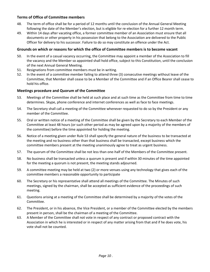#### **Terms of Office of Committee members**

- 48. The term of office shall be for a period of 12 months until the conclusion of the Annual General Meeting following the date of the Member's election, but is eligible for re-election for a further 12 month term.
- 49. Within 14 days after vacating office, a former committee member of an Association must ensure that all documents or other property in his possession that belong to the Association are delivered to the Public Officer for delivery to his successor. Failure to do so may constitute an offence under the Act.

#### **Grounds on which or reasons for which the office of Committee members is to become vacant**

- 50. In the event of a casual vacancy occurring, the Committee may appoint a member of the Association to fill the vacancy and the Member so appointed shall hold office, subject to this Constitution, until the conclusion of the next Annual General Meeting.
- 51. Resignations from committee members must be in writing.
- 52. In the event of a committee member failing to attend three (3) consecutive meetings without leave of the Committee, that Member shall cease to be a Member of the Committee and if an Office Bearer shall cease to hold his office.

#### **Meetings procedure and Quorum of the Committee**

- 53. Meetings of the Committee shall be held at such place and at such time as the Committee from time to time determines. Skype, phone conference and internet conferences as well as face to face meetings.
- 54. The Secretary shall call a meeting of the Committee whenever requested to do so by the President or any member of the Committee.
- 55. Oral or written notice of a meeting of the Committee shall be given by the Secretary to each Member of the Committee at least 48 hours (or such other period as may be agreed upon by a majority of the members of the committee) before the time appointed for holding the meeting.
- 56. Notice of a meeting given under Rule 53 shall specify the general nature of the business to be transacted at the meeting and no business other than that business shall be transacted, except business which the committee members present at the meeting unanimously agree to treat as urgent business.
- 57. The quorum of the Committee shall be not less than one-half of the Members of the Committee present.
- 58. No business shall be transacted unless a quorum is present and if within 30 minutes of the time appointed for the meeting a quorum is not present, the meeting stands adjourned.
- 59. A [committee](http://www.austlii.edu.au/au/legis/nsw/consol_act/aia2009307/s4.html#committee) meeting may be held at two (2) or more venues using any technology that gives each of the [committee members](http://www.austlii.edu.au/au/legis/nsw/consol_act/aia2009307/s4.html#committee_member) a reasonable opportunity to participate
- 60. The Secretary or his representative shall attend all meetings of the Committee. The Minutes of such meetings, signed by the chairman, shall be accepted as sufficient evidence of the proceedings of such meeting.
- 61. Questions arising at a meeting of the Committee shall be determined by a majority of the votes of the Committee.
- 62. The President, or in his absence, the Vice President, or a member of the Committee elected by the members present in person, shall be the chairman of a meeting of the Committee.
- 63. A Member of the Committee shall not vote in respect of any contract or proposed contract with the Association in which he is interested or in respect of any matter arising from that and if he does vote, his vote shall not be counted.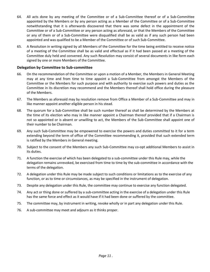- 64. All acts done by any meeting of the Committee or of a Sub-Committee thereof or of a Sub-Committee appointed by the Members or by any person acting as a Member of the Committee or of a Sub-Committee notwithstanding that it is afterwards discovered that there was some defect in the appointment of the Committee or of a Sub-Committee or any person acting as aforesaid, or that the Members of the Committee or any of them or of a Sub-Committee were disqualified shall be as valid as if any such person had been appointed and was qualified to be a Member of the Committee or of such Sub-Committee.
- 65. A Resolution in writing signed by all Members of the Committee for the time being entitled to receive notice of a meeting of the Committee shall be as valid and effectual as if it had been passed at a meeting of the Committee duly held and convened. Any such Resolution may consist of several documents in like form each signed by one or more Members of the Committee.

#### **Delegation by Committee to Sub-committee**

- 66. On the recommendation of the Committee or upon a motion of a Member, the Members in General Meeting may at any time and from time to time appoint a Sub-Committee from amongst the Members of the Committee or the Members for such purpose and with authority to exercise such powers and duties as the Committee in its discretion may recommend and the Members thereof shall hold office during the pleasure of the Members.
- 67. The Members as aforesaid may by resolution remove from Office a Member of a Sub-Committee and may in like manner appoint another eligible person in his stead.
- 68. The quorum for a Sub-Committee shall be such number thereof as shall be determined by the Members at the time of its election who may in like manner appoint a Chairman thereof provided that if a Chairman is not so appointed or is absent or unwilling to act, the Members of the Sub-Committee shall appoint one of their number to be Chairman.
- 69. Any such Sub-Committee may be empowered to exercise the powers and duties committed to it for a term extending beyond the term of office of the Committee recommending it, provided that such extended term is ratified by the Members in General meeting.
- 70. Subject to the consent of the Members any such Sub-Committee may co-opt additional Members to assist in its duties.
- 71. A function the exercise of which has been delegated to a sub-committee under this Rule may, while the delegation remains unrevoked, be exercised from time to time by the sub-committee in accordance with the terms of the delegation.
- 72. A delegation under this Rule may be made subject to such conditions or limitations as to the exercise of any function, or as to time or circumstances, as may be specified in the instrument of delegation.
- 73. Despite any delegation under this Rule, the committee may continue to exercise any function delegated.
- 74. Any act or thing done or suffered by a sub-committee acting in the exercise of a delegation under this Rule has the same force and effect as it would have if it had been done or suffered by the committee.
- 75. The committee may, by instrument in writing, revoke wholly or in part any delegation under this Rule.
- 76. A sub-committee may meet and adjourn as it thinks proper.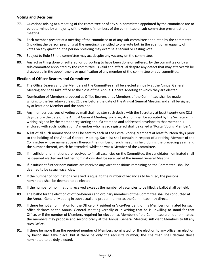#### **Voting and Decisions**

- 77. Questions arising at a meeting of the committee or of any sub-committee appointed by the committee are to be determined by a majority of the votes of members of the committee or sub-committee present at the meeting.
- 78. Each member present at a meeting of the committee or of any sub-committee appointed by the committee (including the person presiding at the meeting) is entitled to one vote but, in the event of an equality of votes on any question, the person presiding may exercise a second or casting vote.
- 79. Subject to Rule 58, the committee may act despite any vacancy on the committee.
- 80. Any act or thing done or suffered, or purporting to have been done or suffered, by the committee or by a sub-committee appointed by the committee, is valid and effectual despite any defect that may afterwards be discovered in the appointment or qualification of any member of the committee or sub-committee.

#### **Election of Officer Bearers and Committee**

- 81. The Office Bearers and the Members of the Committee shall be elected annually at the Annual General Meeting and shall take office at the close of the Annual General Meeting at which they are elected.
- 82. Nomination of Members proposed as Office Bearers or as Members of the Committee shall be made in writing to the Secretary at least 21 days before the date of the Annual General Meeting and shall be signed by at least one Member and the nominee.
- 83. Any member desirous of voting by mail shall register such desire with the Secretary at least twenty-one (21) days before the date of the Annual General Meeting. Such registration shall be accepted by the Secretary if in writing, signed by the member registering and if a stamped and addressed envelope to that member is enclosed with such notification. A member who has so registered shall be called a "Postal Voting Member".
- 84. A list of all such nominations shall be sent to each of the Postal Voting Members at least fourteen days prior to the holding of the Annual General Meeting. Such list shall contain in respect of a retiring Member of the Committee whose name appears thereon the number of such meetings held during the preceding year, and the number thereof, which he attended, whilst he was a Member of the Committee.
- 85. If insufficient nominations are received to fill all vacancies on the Committee, the candidates nominated shall be deemed elected and further nominations shall be received at the Annual General Meeting.
- 86. If insufficient further nominations are received any vacant positions remaining on the Committee, shall be deemed to be casual vacancies.
- 87. If the number of nominations received is equal to the number of vacancies to be filled, the persons nominated shall be deemed to be elected.
- 88. If the number of nominations received exceeds the number of vacancies to be filled, a ballot shall be held.
- 89. The ballot for the election of office-bearers and ordinary members of the Committee shall be conducted at the Annual General Meeting in such usual and proper manner as the Committee may direct.
- 90. If there be not a nomination for the Office of President or Vice-President, or if a Member nominated for such office declares at the Annual General Meeting verbally or in writing that he is unwilling to stand for that Office, or if the number of Members required for election as Members of the Committee are not nominated, the members may propose and second orally at the Annual General Meeting, sufficient Members to fill any such Office.
- 91. If there be more than the required number of Members nominated for the election to any office, an election by ballot shall take place, but if there be only the requisite number, the Chairman shall declare those nominated to be duly elected.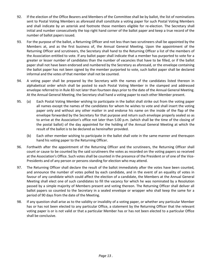- 92. If the election of the Office Bearers and Members of the Committee shall be by ballot, the list of nominations sent to Postal Voting Members as aforesaid shall constitute a voting paper for such Postal Voting Members and shall indicate by an asterisk and footnote those members eligible for re-election. The Secretary shall initial and number consecutively the top right hand corner of the ballot paper and keep a true record of the number of ballot papers issued.
- 93. For the purpose of the ballot, a Returning Officer and not less than two scrutineers shall be appointed by the Members at, and as the first business of, the Annual General Meeting. Upon the appointment of the Returning Officer and scrutineers, the Secretary shall hand to the Returning Officer a list of the members of the Association entitled to vote. If any ballot paper shall indicate that a member has purported to vote for a greater or lesser number of candidates than the number of vacancies that have to be filled, or if the ballot paper shall not have been endorsed and numbered by the Secretary as aforesaid, or the envelope containing the ballot paper has not been signed by the member purported to vote, such ballot paper shall be declared informal and the votes of that member shall not be counted.
- 94. A voting paper shall be prepared by the Secretary with the names of the candidates listed thereon in alphabetical order which shall be posted to each Postal Voting Member in the stamped and addressed envelope referred to in Rule 83 not later than fourteen days prior to the date of the Annual General Meeting. At the Annual General Meeting, the Secretary shall hand a voting paper to each other Member present.
- 95. (a) Each Postal Voting Member wishing to participate in the ballot shall strike out from the voting paper all names except the names of the candidates for whom he wishes to vote and shall insert the voting paper only and without any other matter in and endorse his name on the inside of the flap of the envelope forwarded by the Secretary for that purpose and return such envelope properly sealed so as to arrive at the Association's office not later than 5.00 p.m. (which shall be the time of the closing of the postal ballot) of the day appointed for the holding of the Annual General Meeting at which the result of the ballot is to be declared as hereinafter provided.
	- (b) Each other member wishing to participate in the ballot shall vote in the same manner and thereupon hand his voting paper to the Returning Officer.
- 96. Forthwith after the appointment of the Returning Officer and the scrutineers, the Returning Officer shall count or cause to be counted by the said scrutineers the votes as recorded on the voting papers so received at the Association's Office. Such votes shall be counted in the presence of the President or of one of the Vice-Presidents and of any person or persons standing for election who may attend.
- 97. The Returning Officer shall declare the result of the ballot immediately after the votes have been counted, and announce the number of votes polled by each candidate, and in the event of an equality of votes in favour of any candidate which could affect the election of a candidate, the Members at the Annual General Meeting shall elect one of such candidates to fill the vacancy for which he was nominated by a Resolution passed by a simple majority of Members present and voting thereon. The Returning Officer shall deliver all ballot papers so counted to the Secretary in a sealed envelope or wrapper who shall keep the same for a period of 90 days from the date of the Meeting.
- 98. If any question shall arise as to the validity or invalidity of a voting paper, or whether any particular Member has or has not been elected to any particular Office, a statement by the Returning Officer that the relevant voting paper is or is not valid or that a particular Member has or has not been elected to a particular Office shall be conclusive.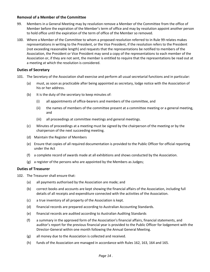#### **Removal of a Member of the Committee**

- 99. Members in a General Meeting may by resolution remove a Member of the Committee from the office of Member before the expiration of the Member's term of office and may by resolution appoint another person to hold office until the expiration of the term of office of the Member so removed.
- 100. Where a Member of the Committee to whom a proposed resolution referred to in Rule 99 relates makes representations in writing to the President, or the Vice President, if the resolution refers to the President (not exceeding reasonable length) and requests that the representations be notified to members of the Association, the President or Vice President may send a copy of the representations to each member of the Association or, if they are not sent, the member is entitled to require that the representations be read out at a meeting at which the resolution is considered.

#### **Duties of Secretary**

- 101. The Secretary of the Association shall exercise and perform all usual secretarial functions and in particular:
	- (a) must, as soon as practicable after being appointed as secretary, lodge notice with the Association of his or her address.
	- (b) It is the duty of the secretary to keep minutes of:
		- (i) all appointments of office-bearers and members of the committee, and
		- (ii) the names of members of the committee present at a committee meeting or a general meeting, and
		- (iii) all proceedings at committee meetings and general meetings.
	- (c) Minutes of proceedings at a meeting must be signed by the chairperson of the meeting or by the chairperson of the next succeeding meeting.
	- (d) Maintain the Register of Members
	- (e) Ensure that copies of all required documentation is provided to the Public Officer for official reporting under the Act
	- (f) a complete record of awards made at all exhibitions and shows conducted by the Association.
	- (g) a register of the persons who are appointed by the Members as Judges;

#### **Duties of Treasurer**

- 102. The Treasurer shall ensure that:
	- (a) all payments authorised by the Association are made; and
	- (b) correct books and accounts are kept showing the financial affairs of the Association, including full details of all receipts and expenditure connected with the activities of the Association.
	- (c) a true inventory of all property of the Association is kept.
	- (d) financial records are prepared according to Australian Accounting Standards.
	- (e) financial records are audited according to Australian Auditing Standards
	- (f) a summary in the approved form of the Association's financial affairs, financial statements, and auditor's report for the previous financial year is provided to the Public Officer for lodgement with the Director-General within one month following the Annual General Meeting.
	- (g) all money due to the Association is collected and received.
	- (h) funds of the Association are managed in accordance with Rules 162, 163, 164 and 165.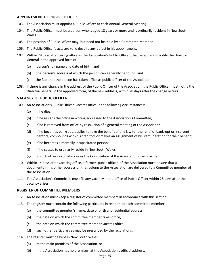#### **APPOINTMENT OF PUBLIC OFFICER**

- 103. The Association must appoint a Public Officer at each Annual General Meeting.
- 104. The Public Officer must be a person who is aged 18 years or more and is ordinarily resident in New South Wales.
- 105. The position of Public Officer may, but need not be, held by a Committee Member.
- 106. The Public Officer's acts are valid despite any defect in his appointment.
- 107. Within 28 days after taking office as the Association's Public Officer, that person must notify the Director General in the approved form of:
	- (a) person's full name and date of birth; and
	- (b) the person's address at which the person can generally be found; and
	- (c) the fact that the person has taken office as public officer of the Association.
- 108. If there is any change in the address of the Public Officer of the Association, the Public Officer must notify the Director-General in the approved form, of the new address, within 28 days after the change occurs.

#### **VACANCY OF PUBLIC OFFICER**

- 109. An [Association](http://www.austlii.edu.au/au/legis/nsw/consol_act/aia2009307/s4.html#association)'s [Public Officer](http://www.austlii.edu.au/cgi-bin/sinodisp/au/legis/nsw/consol_act/aia2009307/s4.html#public_officer) vacates office in the following circumstances:
	- (a) if he dies;
	- (b) if he resigns the office in writing addressed to the [Association](http://www.austlii.edu.au/au/legis/nsw/consol_act/aia2009307/s4.html#association)'s [Committee;](http://www.austlii.edu.au/au/legis/nsw/consol_act/aia2009307/s4.html#committee)
	- (c) if he is removed from office by resolution of a general meeting of the [Association;](http://www.austlii.edu.au/au/legis/nsw/consol_act/aia2009307/s4.html#association)
	- (d) if he becomes bankrupt, applies to take the benefit of any law for the relief of bankrupt or insolvent debtors, compounds with his creditors or makes an assignment of his remuneration for their benefit;
	- (e) if he becomes a mentally incapacitated person;
	- (f) if he ceases to ordinarily reside in New South Wales;
	- (g) in such other circumstances as the [Constitution](http://www.austlii.edu.au/au/legis/nsw/consol_act/aia2009307/s4.html#constitution) of the [Association](http://www.austlii.edu.au/au/legis/nsw/consol_act/aia2009307/s4.html#association) may provide.
- 110. Within 14 days after vacating office, a former [public officer](http://www.austlii.edu.au/cgi-bin/sinodisp/au/legis/nsw/consol_act/aia2009307/s4.html#public_officer) of the [Association](http://www.austlii.edu.au/au/legis/nsw/consol_act/aia2009307/s4.html#association) must ensure that all documents in his or her possession that belong to the [Association](http://www.austlii.edu.au/au/legis/nsw/consol_act/aia2009307/s4.html#association) are delivered to a [Committee member](http://www.austlii.edu.au/au/legis/nsw/consol_act/aia2009307/s4.html#committee_member) of the [Association.](http://www.austlii.edu.au/au/legis/nsw/consol_act/aia2009307/s4.html#association)
- 111. The [Association](http://www.austlii.edu.au/au/legis/nsw/consol_act/aia2009307/s4.html#association)'s [Committee](http://www.austlii.edu.au/au/legis/nsw/consol_act/aia2009307/s4.html#committee) must fill any vacancy in the office of [Public Officer](http://www.austlii.edu.au/cgi-bin/sinodisp/au/legis/nsw/consol_act/aia2009307/s4.html#public_officer) within 28 days after the vacancy arises.

#### **REGISTER OF COMMITTEE MEMBERS**

- 112. An Association must keep a register of committee members in accordance with this section.
- 113. The register must contain the following particulars in relation to each committee member:
	- (a) the committee member's name, date of birth and residential address,
	- (b) the date on which the committee member takes office,
	- (c) the date on which the committee member vacates office,
	- (d) such other particulars as may be prescribed by the regulations.
- 114. The register must be kept in New South Wales:
	- (a) at the main premises of the Association, or
	- (b) if the Association has no premises, at the Association's official address.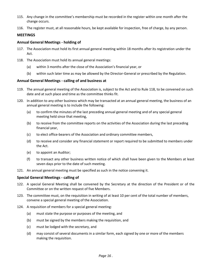- 115. Any change in the committee's membership must be recorded in the register within one month after the change occurs.
- 116. The register must, at all reasonable hours, be kept available for inspection, free of charge, by any person.

#### **MEETINGS**

#### **Annual General Meetings - holding of**

- 117. The Association must hold its first annual general meeting within 18 months after its registration under the Act.
- 118. The Association must hold its annual general meetings:
	- (a) within 3 months after the close of the Association's financial year, or
	- (b) within such later time as may be allowed by the Director-General or prescribed by the Regulation.

#### **Annual General Meetings - calling of and business at**

- 119. The annual general meeting of the Association is, subject to the Act and to Rule 118, to be convened on such date and at such place and time as the committee thinks fit.
- 120. In addition to any other business which may be transacted at an annual general meeting, the business of an annual general meeting is to include the following:
	- (a) to confirm the minutes of the last preceding annual general meeting and of any special general meeting held since that meeting,
	- (b) to receive from the committee reports on the activities of the Association during the last preceding financial year,
	- (c) to elect office-bearers of the Association and ordinary committee members,
	- (d) to receive and consider any financial statement or report required to be submitted to members under the Act.
	- (e) to appoint an Auditor;
	- (f) to transact any other business written notice of which shall have been given to the Members at least seven days prior to the date of such meeting.
- 121. An annual general meeting must be specified as such in the notice convening it.

#### **Special General Meetings - calling of**

- 122. A special General Meeting shall be convened by the Secretary at the direction of the President or of the Committee or on the written request of five Members.
- 123. The committee must, on the requisition in writing of at least 10 per cent of the total number of members, convene a special general meeting of the Association.
- 124. A requisition of members for a special general meeting:
	- (a) must state the purpose or purposes of the meeting, and
	- (b) must be signed by the members making the requisition, and
	- (c) must be lodged with the secretary, and
	- (d) may consist of several documents in a similar form, each signed by one or more of the members making the requisition.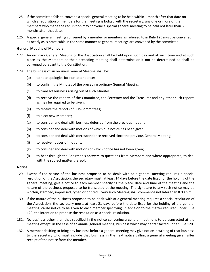- 125. If the committee fails to convene a special general meeting to be held within 1 month after that date on which a requisition of members for the meeting is lodged with the secretary, any one or more of the members who made the requisition may convene a special general meeting to be held not later than 3 months after that date.
- 126. A special general meeting convened by a member or members as referred to in Rule 125 must be convened as nearly as is practicable in the same manner as general meetings are convened by the committee.

#### **General Meeting of Members**

- 127. An ordinary General Meeting of the Association shall be held upon such day and at such time and at such place as the Members at their preceding meeting shall determine or if not so determined as shall be convened pursuant to the Constitution.
- 128. The business of an ordinary General Meeting shall be:
	- (a) to note apologies for non-attendance;
	- (b) to confirm the Minutes of the preceding ordinary General Meeting;
	- (c) to transact business arising out of such Minutes;
	- (d) to receive the reports of the Committee, the Secretary and the Treasurer and any other such reports as may be required to be given;
	- (e) to receive the reports of Sub-Committees;
	- (f) to elect new Members;
	- (g) to consider and deal with business deferred from the previous meeting;
	- (h) to consider and deal with motions of which due notice has been given;
	- (i) to consider and deal with correspondence received since the previous General Meeting;
	- (j) to receive notices of motions;
	- (k) to consider and deal with motions of which notice has not been given;
	- (l) to hear through the Chairman's answers to questions from Members and where appropriate, to deal with the subject matter thereof;

#### **Notice**

- 129. Except if the nature of the business proposed to be dealt with at a general meeting requires a special resolution of the Association, the secretary must, at least 14 days before the date fixed for the holding of the general meeting, give a notice to each member specifying the place, date and time of the meeting and the nature of the business proposed to be transacted at the meeting. The signature to any such notice may be written, stamped, impressed, typed or printed. Every such Meeting shall commence not later than 8.00 p.m.
- 130. If the nature of the business proposed to be dealt with at a general meeting requires a special resolution of the Association, the secretary must, at least 21 days before the date fixed for the holding of the general meeting, cause notice to be given to each member specifying, in addition to the matter required under Rule 129, the intention to propose the resolution as a special resolution.
- 131. No business other than that specified in the notice convening a general meeting is to be transacted at the meeting except, in the case of an annual general meeting, business which may be transacted under Rule 120.
- 132. A member desiring to bring any business before a general meeting may give notice in writing of that business to the secretary who must include that business in the next notice calling a general meeting given after receipt of the notice from the member.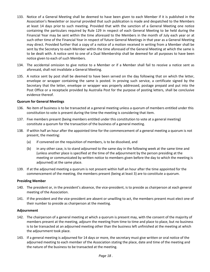- 133. Notice of a General Meeting shall be deemed to have been given to each Member if it is published in the Association's Newsletter or Journal provided that such publication is made and despatched to the Members at least 14 days prior to such meeting. Provided that with the sanction of a General Meeting one notice containing the particulars required by Rule 129 in respect of each General Meeting to be held during the Financial Year may be sent within the time aforesaid to the Members in the month of July each year or at such other time of the Financial Year in respect of future General Meetings in that year as a General Meeting may direct. Provided further that a copy of a notice of a motion received in writing from a Member shall be sent by the Secretary to each Member within the time aforesaid of the General Meeting at which the same is to be dealt with. A notice sent to one of a Dual Membership shall be deemed for all purposes to have been notice given to each of such Members.
- 134. The accidental omission to give notice to a Member or if a Member shall fail to receive a notice sent as aforesaid, shall not invalidate a General Meeting.
- 135. A notice sent by post shall be deemed to have been served on the day following that on which the letter, envelope or wrapper containing the same is posted. In proving such service, a certificate signed by the Secretary that the letter, envelope or wrapper was properly addressed, postage prepaid and put into the Post Office or a receptacle provided by Australia Post for the purpose of posting letters, shall be conclusive evidence thereof.

#### **Quorum for General Meetings**

- 136. No item of business is to be transacted at a general meeting unless a quorum of members entitled under this constitution to vote is present during the time the meeting is considering that item.
- 137. Five members present (being members entitled under this constitution to vote at a general meeting) constitute a quorum for the transaction of the business of a general meeting.
- 138. If within half an hour after the appointed time for the commencement of a general meeting a quorum is not present, the meeting:
	- (a) if convened on the requisition of members, is to be dissolved, and
	- (b) in any other case, is to stand adjourned to the same day in the following week at the same time and (unless another place is specified at the time of the adjournment by the person presiding at the meeting or communicated by written notice to members given before the day to which the meeting is adjourned) at the same place.
- 139. If at the adjourned meeting a quorum is not present within half an hour after the time appointed for the commencement of the meeting, the members present (being at least 3) are to constitute a quorum.

#### **Presiding Member**

- 140. The president or, in the president's absence, the vice-president, is to preside as chairperson at each general meeting of the Association.
- 141. If the president and the vice-president are absent or unwilling to act, the members present must elect one of their number to preside as chairperson at the meeting.

#### **Adjournment**

- 142. The chairperson of a general meeting at which a quorum is present may, with the consent of the majority of members present at the meeting, adjourn the meeting from time to time and place to place, but no business is to be transacted at an adjourned meeting other than the business left unfinished at the meeting at which the adjournment took place.
- 143. If a general meeting is adjourned for 14 days or more, the secretary must give written or oral notice of the adjourned meeting to each member of the Association stating the place, date and time of the meeting and the nature of the business to be transacted at the meeting.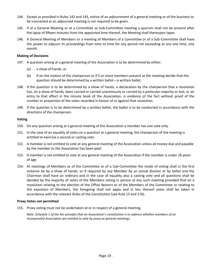- 144. Except as provided in Rules 142 and 143, notice of an adjournment of a general meeting or of the business to be transacted at an adjourned meeting is not required to be given.
- 145. If at a General Meeting or at a Committee or Sub-Committee meeting a quorum shall not be present after the lapse of fifteen minutes from the appointed time thereof, the Meeting shall thereupon lapse.
- 146. A General Meeting of Members or a meeting of Members of a Committee or of a Sub-Committee shall have the power to adjourn its proceedings from time to time for any period not exceeding at any one time, one month.

#### **Making of Decisions**

- 147. A question arising at a general meeting of the Association is to be determined by either:
	- (a) a show of hands, or
	- (b) if on the motion of the chairperson or if 5 or more members present at the meeting decide that the question should be determined by a written ballot—a written ballot.
- 148. If the question is to be determined by a show of hands, a declaration by the chairperson that a resolution has, on a show of hands, been carried or carried unanimously or carried by a particular majority or lost, or an entry to that effect in the minute book of the Association, is evidence of the fact without proof of the number or proportion of the votes recorded in favour of or against that resolution.
- 149. If the question is to be determined by a written ballot, the ballot is to be conducted in accordance with the directions of the chairperson.

#### **Voting**

- 150. On any question arising at a general meeting of the Association a member has one vote only.
- 151. In the case of an equality of votes on a question at a general meeting, the chairperson of the meeting is entitled to exercise a second or casting vote.
- 152. A member is not entitled to vote at any general meeting of the Association unless all money due and payable by the member to the Association has been paid.
- 153. A member is not entitled to vote at any general meeting of the Association if the member is under 18 years of age.
- 154. At meetings of Members or of the Committee or of a Sub-Committee the mode of voting shall in the first instance be by a show of hands, or if required by any Member by an actual division or by ballot and the Chairman shall have an ordinary and in the case of equality also a casting vote and all questions shall be decided by the majority of votes of the Members voting in person at any such meeting provided that on a resolution relating to the election of the Office Bearers or of the Members of the Committee or relating to the expulsion of Members, the foregoing shall not apply and in lieu thereof votes shall be taken in accordance with the relevant Rules of the Constitution (see Rule 15 and 176).

#### **Proxy Votes not permitted**

155. Proxy voting must not be undertaken at or in respect of a general meeting.

*Note: Schedule 1 of the Act provides that an Association's constitution is to address whether members of an incorporated Association are entitled to vote by proxy at general meetings.*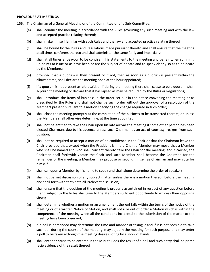#### **PROCEDURE AT MEETINGS**

- 156. The Chairman of a General Meeting or of the Committee or of a Sub-Committee:
	- (a) shall conduct the meeting in accordance with the Rules governing any such meeting and with the law and accepted practice relating thereof;
	- (b) shall make himself familiar with such Rules and the law and accepted practice relating thereof;
	- (c) shall be bound by the Rules and Regulations made pursuant thereto and shall ensure that the meeting at all times conforms thereto and shall administer the same fairly and impartially;
	- (d) shall at all times endeavour to be concise in his statements to the meeting and be fair when summing up points at issue or as have been or are the subject of debate and to speak clearly so as to be heard by the Members;
	- (e) provided that a quorum is then present or if not, then as soon as a quorum is present within the allowed time, shall declare the meeting open at the hour appointed;
	- (f) if a quorum is not present as aforesaid, or if during the meeting there shall cease to be a quorum, shall adjourn the meeting or declare that it has lapsed as may be required by the Rules or Regulations;
	- (g) shall introduce the items of business in the order set out in the notice convening the meeting or as prescribed by the Rules and shall not change such order without the approval of a resolution of the Members present pursuant to a motion specifying the change required in such order;
	- (h) shall close the meeting promptly at the completion of the business to be transacted thereat, or unless the Members shall otherwise determine, at the time appointed;
	- (i) shall not be entitled to take the Chair upon his late arrival at a meeting if some other person has been elected Chairman, due to his absence unless such Chairman as an act of courtesy, resigns from such position;
	- (j) shall not be required to accept a motion of no confidence in the Chair or that the Chairman leave the Chair provided that, except when the President is in the Chair, a Member may move that a Member who shall be named and who shall consent thereto take the Chair for the meeting, and if carried, the Chairman shall forthwith vacate the Chair and such Member shall become the Chairman for the remainder of the meeting; a Member may propose or second himself as Chairman and may vote for himself;
	- (k) shall call upon a Member by his name to speak and shall alone determine the order of speakers;
	- (l) shall not permit discussion of any subject matter unless there is a motion thereon before the meeting and shall forthwith terminate all irrelevant discussion;
	- (m) shall ensure that the decision of the meeting is properly ascertained in respect of any question before it and subject to the Rules shall give to the Members sufficient opportunity to express their opposing views;
	- (n) shall determine whether a motion or an amendment thereof falls within the terms of the notice of the meeting or of a written Notice of Motion, and shall not rule out of order a Motion which is within the competence of the meeting when all the conditions incidental to the submission of the matter to the meeting have been observed;
	- (o) if a poll is demanded may determine the time and manner of taking it and if it is not possible to take such poll during the course of the meeting, may adjourn the meeting for such purpose and may order a poll to be taken although the meeting desires voting by a show of hands;
	- (p) shall enter or cause to be entered in the Minute Book the result of a poll and such entry shall be prima facie evidence of the result thereof;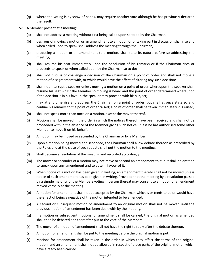- (q) where the voting is by show of hands, may require another vote although he has previously declared the result.
- 157. A Member present at a meeting:
	- (a) shall not address a meeting without first being called upon so to do by the Chairman;
	- (b) desirous of moving a motion or an amendment to a motion or of taking part in discussion shall rise and when called upon to speak shall address the meeting through the Chairman;
	- (c) proposing a motion or an amendment to a motion, shall state its nature before so addressing the meeting;
	- (d) shall resume his seat immediately upon the conclusion of his remarks or if the Chairman rises or proceeds to speak or when called upon by the Chairman so to do;
	- (e) shall not discuss or challenge a decision of the Chairman on a point of order and shall not move a motion of disagreement with, or which would have the effect of altering any such decision;
	- (f) shall not interrupt a speaker unless moving a motion on a point of order whereupon the speaker shall resume his seat whilst the Member so moving is heard and the point of order determined whereupon if the decision is in his favour, the speaker may proceed with his subject;
	- (g) may at any time rise and address the Chairman on a point of order, but shall at once state so and confine his remarks to the point of order raised; a point of order shall be taken immediately it is raised;
	- (h) shall not speak more than once on a motion, except the mover thereof.
	- (i) Motions shall be moved in the order in which the notices thereof have been received and shall not be proceeded with in the absence of the Member giving such notice unless he has authorised some other Member to move it on his behalf.
	- (j) A motion may be moved or seconded by the Chairman or by a Member.
	- (k) Upon a motion being moved and seconded, the Chairman shall allow debate thereon as prescribed by the Rules and at the close of such debate shall put the motion to the meeting.
	- (l) Shall become a resolution of the meeting and recorded accordingly.
	- (m) The mover or seconder of a motion may not move or second an amendment to it, but shall be entitled to speak upon any amendment and to vote in favour of it.
	- (n) When notice of a motion has been given in writing, an amendment thereto shall not be moved unless notice of such amendment has been given in writing. Provided that the meeting by a resolution passed by a simple majority of the Members voting in person thereat may consent to a motion of amendment moved verbally at the meeting.
	- (o) A motion for amendment shall not be accepted by the Chairman which is or tends to be or would have the effect of being a negative of the motion intended to be amended.
	- (p) A second or subsequent motion of amendment to an original motion shall not be moved until the previous motion of amendment has been dealt with by the meeting.
	- (q) If a motion or subsequent motions for amendment shall be carried, the original motion as amended shall then be debated and thereafter put to the vote of the Members.
	- (r) The mover of a motion of amendment shall not have the right to reply after the debate thereon.
	- (s) A motion for amendment shall be put to the meeting before the original motion is put.
	- (t) Motions for amendment shall be taken in the order in which they affect the terms of the original motion, and an amendment shall not be allowed in respect of those parts of the original motion which have already been carried.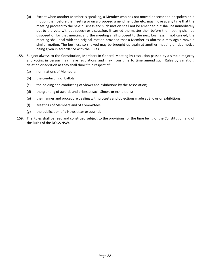- (u) Except when another Member is speaking, a Member who has not moved or seconded or spoken on a motion then before the meeting or on a proposed amendment thereto, may move at any time that the meeting proceed to the next business and such motion shall not be amended but shall be immediately put to the vote without speech or discussion. If carried the matter then before the meeting shall be disposed of for that meeting and the meeting shall proceed to the next business. If not carried, the meeting shall deal with the original motion provided that a Member as aforesaid may again move a similar motion. The business so shelved may be brought up again at another meeting on due notice being given in accordance with the Rules.
- 158. Subject always to the Constitution, Members In General Meeting by resolution passed by a simple majority and voting in person may make regulations and may from time to time amend such Rules by variation, deletion or addition as they shall think fit in respect of:
	- (a) nominations of Members;
	- (b) the conducting of ballots;
	- (c) the holding and conducting of Shows and exhibitions by the Association;
	- (d) the granting of awards and prizes at such Shows or exhibitions;
	- (e) the manner and procedure dealing with protests and objections made at Shows or exhibitions;
	- (f) Meetings of Members and of Committees;
	- (g) the publication of a Newsletter or Journal.
- 159. The Rules shall be read and construed subject to the provisions for the time being of the Constitution and of the Rules of the DOGS NSW.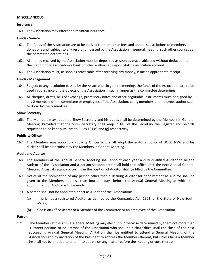#### **MISCELLANEOUS**

#### **Insurance**

160. The Association may effect and maintain insurance.

#### **Funds - Source**

- 161. The funds of the Association are to be derived from entrance fees and annual subscriptions of members, donations and, subject to any resolution passed by the Association in general meeting, such other sources as the committee determines.
- 162. All money received by the Association must be deposited as soon as practicable and without deduction to the credit of the Association's bank or other authorised deposit-taking institution account.
- 163. The Association must, as soon as practicable after receiving any money, issue an appropriate receipt.

#### **Funds - Management**

- 164. Subject to any resolution passed by the Association in general meeting, the funds of the Association are to be used in pursuance of the objects of the Association in such manner as the committee determines.
- 165. All cheques, drafts, bills of exchange, promissory notes and other negotiable instruments must be signed by any 2 members of the committee or employees of the Association, being members or employees authorised to do so by the committee.

#### **Show Secretary**

166. The Members may appoint a Show Secretary and his duties shall be determined by the Members in General Meeting. Provided that the Show Secretary shall keep in lieu of the Secretary the Register and records requested to be kept pursuant to Rules 101 (f) and (g) respectively.

#### **Publicity Officer**

167. The Members may appoint a Publicity Officer who shall adopt the editorial policy of DOGS NSW and his duties shall be determined by the Members in General Meeting.

#### **Audit and Auditor**

- 168. The Members at the Annual General Meeting shall appoint each year a duly qualified Auditor to be the Auditor of the Association and a person so appointed shall hold that office until the next Annual General Meeting. A casual vacancy occurring in the position of Auditor shall be filled by the Committee.
- 169. Notice of the nomination of any person other than a Retiring Auditor for appointment as Auditor shall be given to the Members not less than fourteen days before the Annual General Meeting at which the appointment of Auditor is to be made.
- 170. A person shall not be appointed or act as Auditor of the Association:
	- (a) if he is not a registered Auditor as defined by the Companies Act, 1961, of the State of New South Wales;
	- (b) if he is an Office Bearer or a Member of the Committee or an employee of the Association.

#### **Patron**

171. The Members at the Annual General Meeting may elect until otherwise determined by them not more than 3 (three) persons to be Patrons of the Association who shall hold that Office until the close of the next succeeding Annual General Meeting. A Patron shall be entitled to attend a General Meeting of the Association and by invitation of the President to address the Members thereat, but unless he is a Member he shall not be entitled to enter into debate on any matter before the meeting or vote thereat.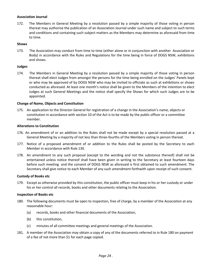#### **Association Journal**

172. The Members in General Meeting by a resolution passed by a simple majority of those voting in person thereat may authorise the publication of an Association Journal under such name and subject to such terms and conditions and containing such subject matters as the Members may determine as aforesaid from time to time.

#### **Shows**

173. The Association may conduct from time to time (either alone or in conjunction with another Association or Body) in accordance with the Rules and Regulations for the time being in force of DOGS NSW, exhibitions and shows.

#### **Judges**

174. The Members in General Meeting by a resolution passed by a simple majority of those voting in person thereat shall elect Judges from amongst the persons for the time being enrolled on the Judges' Panels kept or who may be approved of by DOGS NSW who may be invited to officiate as such at exhibitions or shows conducted as aforesaid. At least one month's notice shall be given to the Members of the intention to elect Judges at such General Meetings and the notice shall specify the Shows for which such Judges are to be appointed.

#### **Change of Name, Objects and Constitution**

175. An application to the Director-General for registration of a change in the Association's name, objects or constitution in accordance with section 10 of the Act is to be made by the public officer or a committee member.

#### **Alterations to Constitution**

- 176. An amendment of or an addition to the Rules shall not be made except by a special resolution passed at a General Meeting by a majority of not less than three-fourths of the Members voting in person thereat.
- 177. Notice of a proposed amendment of or addition to the Rules shall be posted by the Secretary to each Member in accordance with Rule 130.
- 178. An amendment to any such proposal (except to the wording and not the substance thereof) shall not be entertained unless notice thereof shall have been given in writing to the Secretary at least fourteen days before such meeting and the consent of DOGS NSW as aforesaid is first obtained to such amendment. The Secretary shall give notice to each Member of any such amendment forthwith upon receipt of such consent.

#### **Custody of Books etc**

179. Except as otherwise provided by this constitution, the public officer must keep in his or her custody or under his or her control all records, books and other documents relating to the Association.

#### **Inspection of Books etc**

- 180. The following documents must be open to inspection, free of charge, by a member of the Association at any reasonable hour:
	- (a) records, books and other financial documents of the Association,
	- (b) this constitution,
	- (c) minutes of all committee meetings and general meetings of the Association.
- 181. A member of the Association may obtain a copy of any of the documents referred to in Rule 180 on payment of a fee of not more than \$1 for each page copied.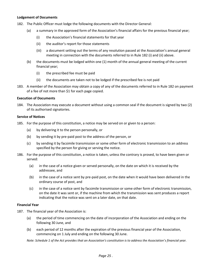#### **Lodgement of Documents**

- 182. The Public Officer must lodge the following documents with the Director General:
	- (a) a summary in the approved form of the Association's financial affairs for the previous financial year;
		- (i) the Association's financial statements for that year
		- (ii) the auditor's report for those statements
		- (iii) a document setting out the terms of any resolution passed at the Association's annual general meeting in connection with the documents referred to in Rule 182 (i) and (ii) above.
	- (b) the documents must be lodged within one (1) month of the annual general meeting of the current financial year;
		- (i) the prescribed fee must be paid
		- (ii) the documents are taken not to be lodged if the prescribed fee is not paid
- 183. A member of the Association may obtain a copy of any of the documents referred to in Rule 182 on payment of a fee of not more than \$1 for each page copied.

#### **Execution of Documents**

184. The Association may execute a document without using a common seal if the document is signed by two (2) of its authorised signatories.

#### **Service of Notices**

- 185. For the purpose of this constitution, a notice may be served on or given to a person:
	- (a) by delivering it to the person personally, or
	- (b) by sending it by pre-paid post to the address of the person, or
	- (c) by sending it by facsimile transmission or some other form of electronic transmission to an address specified by the person for giving or serving the notice.
- 186. For the purpose of this constitution, a notice is taken, unless the contrary is proved, to have been given or served:
	- (a) in the case of a notice given or served personally, on the date on which it is received by the addressee, and
	- (b) in the case of a notice sent by pre-paid post, on the date when it would have been delivered in the ordinary course of post, and
	- (c) in the case of a notice sent by facsimile transmission or some other form of electronic transmission, on the date it was sent or, if the machine from which the transmission was sent produces a report indicating that the notice was sent on a later date, on that date.

#### **Financial Year**

- 187. The financial year of the Association is:
	- (a) the period of time commencing on the date of incorporation of the Association and ending on the following 30 June, and
	- (b) each period of 12 months after the expiration of the previous financial year of the Association, commencing on 1 July and ending on the following 30 June.

*Note: Schedule 1 of the Act provides that an Association's constitution is to address the Association's financial year.*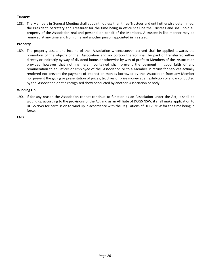#### **Trustees**

188. The Members in General Meeting shall appoint not less than three Trustees and until otherwise determined, the President, Secretary and Treasurer for the time being in office shall be the Trustees and shall hold all property of the Association real and personal on behalf of the Members. A trustee in like manner may be removed at any time and from time and another person appointed in his stead.

#### **Property**

189. The property assets and income of the Association whencesoever derived shall be applied towards the promotion of the objects of the Association and no portion thereof shall be paid or transferred either directly or indirectly by way of dividend bonus or otherwise by way of profit to Members of the Association provided however that nothing herein contained shall prevent the payment in good faith of any remuneration to an Officer or employee of the Association or to a Member in return for services actually rendered nor prevent the payment of interest on monies borrowed by the Association from any Member nor prevent the giving or presentation of prizes, trophies or prize money at an exhibition or show conducted by the Association or at a recognised show conducted by another Association or body.

#### **Winding Up**

190. If for any reason the Association cannot continue to function as an Association under the Act, it shall be wound up according to the provisions of the Act and as an Affiliate of DOGS NSW; it shall make application to DOGS NSW for permission to wind up in accordance with the Regulations of DOGS NSW for the time being in force.

**END**